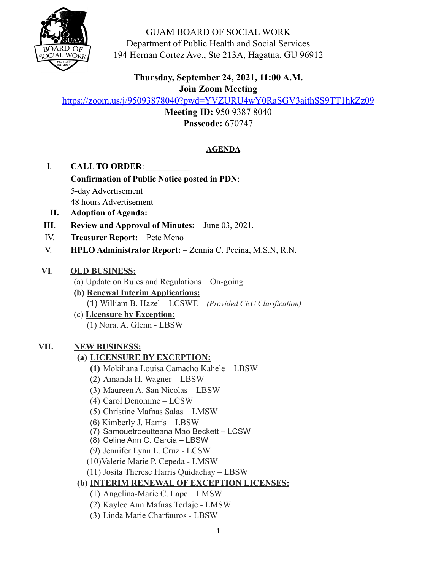

GUAM BOARD OF SOCIAL WORK Department of Public Health and Social Services 194 Hernan Cortez Ave., Ste 213A, Hagatna, GU 96912

## **Thursday, September 24, 2021, 11:00 A.M. Join Zoom Meeting**

<https://zoom.us/j/95093878040?pwd=YVZURU4wY0RaSGV3aithSS9TT1hkZz09>

**Meeting ID:** 950 9387 8040 **Passcode:** 670747

## **AGENDA**

- I. **CALL TO ORDER**: \_\_\_\_\_\_\_\_\_\_
	- **Confirmation of Public Notice posted in PDN**: 5-day Advertisement 48 hours Advertisement
- **II. Adoption of Agenda:**
- **III**. **Review and Approval of Minutes:** June 03, 2021.
- IV. **Treasurer Report:** Pete Meno
- V. **HPLO Administrator Report:** Zennia C. Pecina, M.S.N, R.N.

### **VI**. **OLD BUSINESS:**

- (a) Update on Rules and Regulations On-going
- **(b) Renewal Interim Applications:** 
	- (1) William B. Hazel LCSWE *(Provided CEU Clarification)*
- (c) **Licensure by Exception:**
	- (1) Nora. A. Glenn LBSW

## **VII. NEW BUSINESS:**

# **(a) LICENSURE BY EXCEPTION:**

- **(1)** Mokihana Louisa Camacho Kahele LBSW
- (2) Amanda H. Wagner LBSW
- (3) Maureen A. San Nicolas LBSW
- (4) Carol Denomme LCSW
- (5) Christine Mafnas Salas LMSW
- (6) Kimberly J. Harris LBSW
- (7) Samouetroeutteana Mao Beckett LCSW
- (8) Celine Ann C. Garcia LBSW
- (9) Jennifer Lynn L. Cruz LCSW
- (10)Valerie Marie P. Cepeda LMSW
- (11) Josita Therese Harris Quidachay LBSW

# **(b) INTERIM RENEWAL OF EXCEPTION LICENSES:**

- (1) Angelina-Marie C. Lape LMSW
- (2) Kaylee Ann Mafnas Terlaje LMSW
- (3) Linda Marie Charfauros LBSW